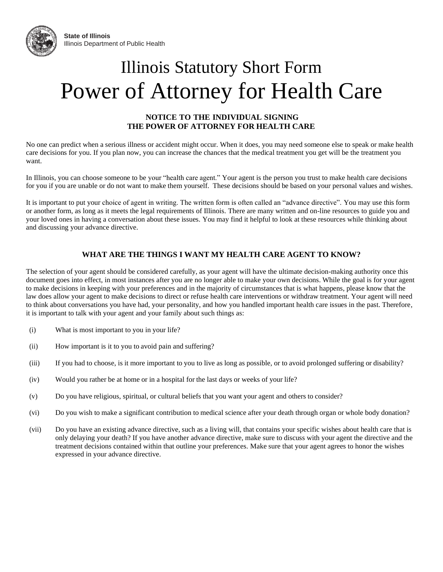

**State of Illinois** Illinois Department of Public Health

# Illinois Statutory Short Form Power of Attorney for Health Care

## **NOTICE TO THE INDIVIDUAL SIGNING THE POWER OF ATTORNEY FOR HEALTH CARE**

No one can predict when a serious illness or accident might occur. When it does, you may need someone else to speak or make health care decisions for you. If you plan now, you can increase the chances that the medical treatment you get will be the treatment you want.

In Illinois, you can choose someone to be your "health care agent." Your agent is the person you trust to make health care decisions for you if you are unable or do not want to make them yourself. These decisions should be based on your personal values and wishes.

It is important to put your choice of agent in writing. The written form is often called an "advance directive". You may use this form or another form, as long as it meets the legal requirements of Illinois. There are many written and on-line resources to guide you and your loved ones in having a conversation about these issues. You may find it helpful to look at these resources while thinking about and discussing your advance directive.

## **WHAT ARE THE THINGS I WANT MY HEALTH CARE AGENT TO KNOW?**

The selection of your agent should be considered carefully, as your agent will have the ultimate decision-making authority once this document goes into effect, in most instances after you are no longer able to make your own decisions. While the goal is for your agent to make decisions in keeping with your preferences and in the majority of circumstances that is what happens, please know that the law does allow your agent to make decisions to direct or refuse health care interventions or withdraw treatment. Your agent will need to think about conversations you have had, your personality, and how you handled important health care issues in the past. Therefore, it is important to talk with your agent and your family about such things as:

- (i) What is most important to you in your life?
- (ii) How important is it to you to avoid pain and suffering?
- (iii) If you had to choose, is it more important to you to live as long as possible, or to avoid prolonged suffering or disability?
- (iv) Would you rather be at home or in a hospital for the last days or weeks of your life?
- (v) Do you have religious, spiritual, or cultural beliefs that you want your agent and others to consider?
- (vi) Do you wish to make a significant contribution to medical science after your death through organ or whole body donation?
- (vii) Do you have an existing advance directive, such as a living will, that contains your specific wishes about health care that is only delaying your death? If you have another advance directive, make sure to discuss with your agent the directive and the treatment decisions contained within that outline your preferences. Make sure that your agent agrees to honor the wishes expressed in your advance directive.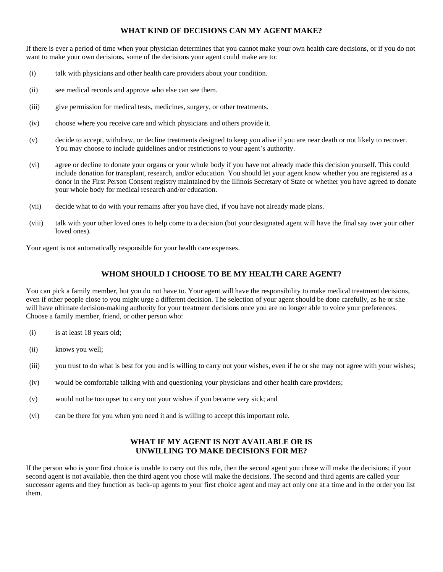## **WHAT KIND OF DECISIONS CAN MY AGENT MAKE?**

If there is ever a period of time when your physician determines that you cannot make your own health care decisions, or if you do not want to make your own decisions, some of the decisions your agent could make are to:

- (i) talk with physicians and other health care providers about your condition.
- (ii) see medical records and approve who else can see them.
- (iii) give permission for medical tests, medicines, surgery, or other treatments.
- (iv) choose where you receive care and which physicians and others provide it.
- (v) decide to accept, withdraw, or decline treatments designed to keep you alive if you are near death or not likely to recover. You may choose to include guidelines and/or restrictions to your agent's authority.
- (vi) agree or decline to donate your organs or your whole body if you have not already made this decision yourself. This could include donation for transplant, research, and/or education. You should let your agent know whether you are registered as a donor in the First Person Consent registry maintained by the Illinois Secretary of State or whether you have agreed to donate your whole body for medical research and/or education.
- (vii) decide what to do with your remains after you have died, if you have not already made plans.
- (viii) talk with your other loved ones to help come to a decision (but your designated agent will have the final say over your other loved ones).

Your agent is not automatically responsible for your health care expenses.

## **WHOM SHOULD I CHOOSE TO BE MY HEALTH CARE AGENT?**

You can pick a family member, but you do not have to. Your agent will have the responsibility to make medical treatment decisions, even if other people close to you might urge a different decision. The selection of your agent should be done carefully, as he or she will have ultimate decision-making authority for your treatment decisions once you are no longer able to voice your preferences. Choose a family member, friend, or other person who:

- (i) is at least 18 years old;
- (ii) knows you well;
- (iii) you trust to do what is best for you and is willing to carry out your wishes, even if he or she may not agree with your wishes;
- (iv) would be comfortable talking with and questioning your physicians and other health care providers;
- (v) would not be too upset to carry out your wishes if you became very sick; and
- (vi) can be there for you when you need it and is willing to accept this important role.

## **WHAT IF MY AGENT IS NOT AVAILABLE OR IS UNWILLING TO MAKE DECISIONS FOR ME?**

If the person who is your first choice is unable to carry out this role, then the second agent you chose will make the decisions; if your second agent is not available, then the third agent you chose will make the decisions. The second and third agents are called your successor agents and they function as back-up agents to your first choice agent and may act only one at a time and in the order you list them.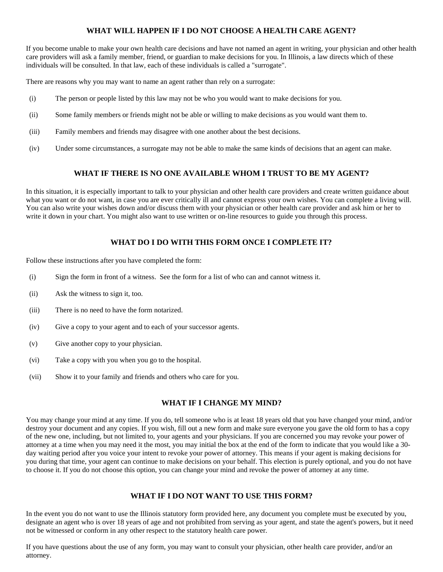## **WHAT WILL HAPPEN IF I DO NOT CHOOSE A HEALTH CARE AGENT?**

If you become unable to make your own health care decisions and have not named an agent in writing, your physician and other health care providers will ask a family member, friend, or guardian to make decisions for you. In Illinois, a law directs which of these individuals will be consulted. In that law, each of these individuals is called a "surrogate".

There are reasons why you may want to name an agent rather than rely on a surrogate:

- (i) The person or people listed by this law may not be who you would want to make decisions for you.
- (ii) Some family members or friends might not be able or willing to make decisions as you would want them to.
- (iii) Family members and friends may disagree with one another about the best decisions.
- (iv) Under some circumstances, a surrogate may not be able to make the same kinds of decisions that an agent can make.

## **WHAT IF THERE IS NO ONE AVAILABLE WHOM I TRUST TO BE MY AGENT?**

In this situation, it is especially important to talk to your physician and other health care providers and create written guidance about what you want or do not want, in case you are ever critically ill and cannot express your own wishes. You can complete a living will. You can also write your wishes down and/or discuss them with your physician or other health care provider and ask him or her to write it down in your chart. You might also want to use written or on-line resources to guide you through this process.

## **WHAT DO I DO WITH THIS FORM ONCE I COMPLETE IT?**

Follow these instructions after you have completed the form:

- (i) Sign the form in front of a witness. See the form for a list of who can and cannot witness it.
- (ii) Ask the witness to sign it, too.
- (iii) There is no need to have the form notarized.
- (iv) Give a copy to your agent and to each of your successor agents.
- (v) Give another copy to your physician.
- (vi) Take a copy with you when you go to the hospital.
- (vii) Show it to your family and friends and others who care for you.

## **WHAT IF I CHANGE MY MIND?**

You may change your mind at any time. If you do, tell someone who is at least 18 years old that you have changed your mind, and/or destroy your document and any copies. If you wish, fill out a new form and make sure everyone you gave the old form to has a copy of the new one, including, but not limited to, your agents and your physicians. If you are concerned you may revoke your power of attorney at a time when you may need it the most, you may initial the box at the end of the form to indicate that you would like a 30 day waiting period after you voice your intent to revoke your power of attorney. This means if your agent is making decisions for you during that time, your agent can continue to make decisions on your behalf. This election is purely optional, and you do not have to choose it. If you do not choose this option, you can change your mind and revoke the power of attorney at any time.

#### **WHAT IF I DO NOT WANT TO USE THIS FORM?**

In the event you do not want to use the Illinois statutory form provided here, any document you complete must be executed by you, designate an agent who is over 18 years of age and not prohibited from serving as your agent, and state the agent's powers, but it need not be witnessed or conform in any other respect to the statutory health care power.

If you have questions about the use of any form, you may want to consult your physician, other health care provider, and/or an attorney.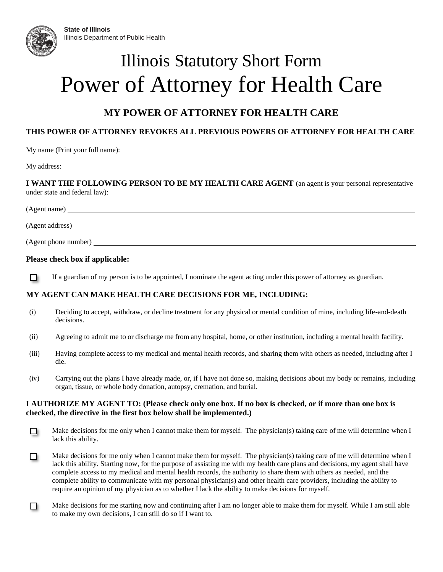# Illinois Statutory Short Form Power of Attorney for Health Care

# **MY POWER OF ATTORNEY FOR HEALTH CARE**

## **THIS POWER OF ATTORNEY REVOKES ALL PREVIOUS POWERS OF ATTORNEY FOR HEALTH CARE**

My name (Print your full name):

My address:

**I WANT THE FOLLOWING PERSON TO BE MY HEALTH CARE AGENT** (an agent is your personal representative under state and federal law):

(Agent name)

(Agent address)

(Agent phone number)

## **Please check box if applicable:**

 $\Box$ If a guardian of my person is to be appointed, I nominate the agent acting under this power of attorney as guardian.

## **MY AGENT CAN MAKE HEALTH CARE DECISIONS FOR ME, INCLUDING:**

- (i) Deciding to accept, withdraw, or decline treatment for any physical or mental condition of mine, including life-and-death decisions.
- (ii) Agreeing to admit me to or discharge me from any hospital, home, or other institution, including a mental health facility.
- (iii) Having complete access to my medical and mental health records, and sharing them with others as needed, including after I die.
- (iv) Carrying out the plans I have already made, or, if I have not done so, making decisions about my body or remains, including organ, tissue, or whole body donation, autopsy, cremation, and burial.

## **I AUTHORIZE MY AGENT TO: (Please check only one box. If no box is checked, or if more than one box is checked, the directive in the first box below shall be implemented.)**

- o Make decisions for me only when I cannot make them for myself. The physician(s) taking care of me will determine when I lack this ability.
- o i Make decisions for me only when I cannot make them for myself. The physician(s) taking care of me will determine when I lack this ability. Starting now, for the purpose of assisting me with my health care plans and decisions, my agent shall have complete access to my medical and mental health records, the authority to share them with others as needed, and the complete ability to communicate with my personal physician(s) and other health care providers, including the ability to require an opinion of my physician as to whether I lack the ability to make decisions for myself.
- o. Make decisions for me starting now and continuing after I am no longer able to make them for myself. While I am still able to make my own decisions, I can still do so if I want to.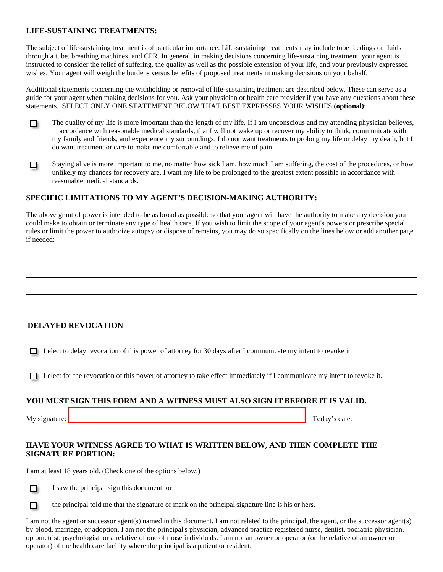## **LIFE-SUSTAINING TREATMENTS:**

The subject of life-sustaining treatment is of particular importance. Life-sustaining treatments may include tube feedings or fluids through a tube, breathing machines, and CPR. In general, in making decisions concerning life-sustaining treatment, your agent is instructed to consider the relief of suffering, the quality as well as the possible extension of your life, and your previously expressed wishes. Your agent will weigh the burdens versus benefits of proposed treatments in making decisions on your behalf.

Additional statements concerning the withholding or removal of life-sustaining treatment are described below. These can serve as a guide for your agent when making decisions for you. Ask your physician or health care provider if you have any questions about these statements. SELECT ONLY ONE STATEMENT BELOW THAT BEST EXPRESSES YOUR WISHES **(optional)**:

The quality of my life is more important than the length of my life. If I am unconscious and my attending physician believes, in accordance with reasonable medical standards, that I will not wake up or recover my ability to think, communicate with my family and friends, and experience my surroundings, I do not want treatments to prolong my life or delay my death, but I do want treatment or care to make me comfortable and to relieve me of pain.

Staying alive is more important to me, no matter how sick I am, how much I am suffering, the cost of the procedures, or how O۱ unlikely my chances for recovery are. I want my life to be prolonged to the greatest extent possible in accordance with reasonable medical standards.

## **SPECIFIC LIMITATIONS TO MY AGENT'S DECISION-MAKING AUTHORITY:**

The above grant of power is intended to be as broad as possible so that your agent will have the authority to make any decision you could make to obtain or terminate any type of health care. If you wish to limit the scope of your agent's powers or prescribe special rules or limit the power to authorize autopsy or dispose of remains, you may do so specifically on the lines below or add another page if needed:

## **DELAYED REVOCATION**

 $\Box$  I elect to delay revocation of this power of attorney for 30 days after I communicate my intent to revoke it.

 $\Box$  I elect for the revocation of this power of attorney to take effect immediately if I communicate my intent to revoke it.

## **YOU MUST SIGN THIS FORM AND A WITNESS MUST ALSO SIGN IT BEFORE IT IS VALID.**

 $\mathcal{L}$ 

 $\Box$ 

My signature: Today's date:

## **HAVE YOUR WITNESS AGREE TO WHAT IS WRITTEN BELOW, AND THEN COMPLETE THE SIGNATURE PORTION:**

I am at least 18 years old. (Check one of the options below.)

 $\Box$ I saw the principal sign this document, or

the principal told me that the signature or mark on the principal signature line is his or hers.

I am not the agent or successor agent(s) named in this document. I am not related to the principal, the agent, or the successor agent(s) by blood, marriage, or adoption. I am not the principal's physician, advanced practice registered nurse, dentist, podiatric physician, optometrist, psychologist, or a relative of one of those individuals. I am not an owner or operator (or the relative of an owner or operator) of the health care facility where the principal is a patient or resident.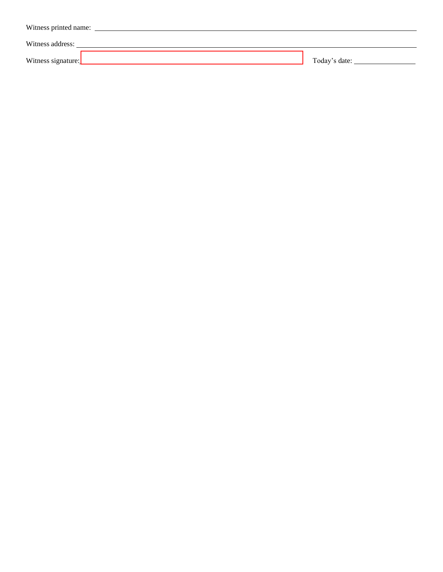| Witness printed name: |               |
|-----------------------|---------------|
| Witness address:      |               |
| Witness signature:    | Today's date: |